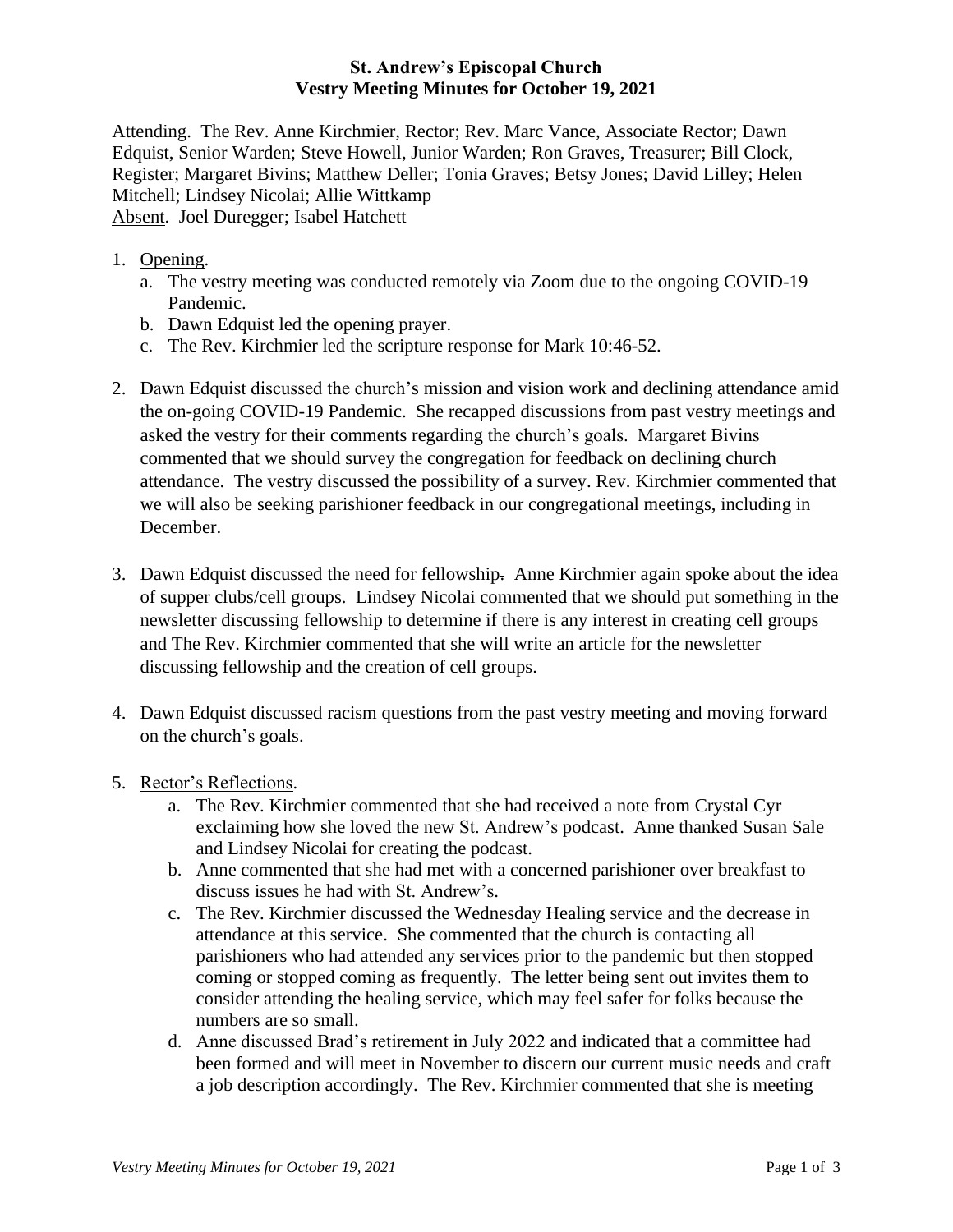## **St. Andrew's Episcopal Church Vestry Meeting Minutes for October 19, 2021**

Attending. The Rev. Anne Kirchmier, Rector; Rev. Marc Vance, Associate Rector; Dawn Edquist, Senior Warden; Steve Howell, Junior Warden; Ron Graves, Treasurer; Bill Clock, Register; Margaret Bivins; Matthew Deller; Tonia Graves; Betsy Jones; David Lilley; Helen Mitchell; Lindsey Nicolai; Allie Wittkamp Absent. Joel Duregger; Isabel Hatchett

- 1. Opening.
	- a. The vestry meeting was conducted remotely via Zoom due to the ongoing COVID-19 Pandemic.
	- b. Dawn Edquist led the opening prayer.
	- c. The Rev. Kirchmier led the scripture response for Mark 10:46-52.
- 2. Dawn Edquist discussed the church's mission and vision work and declining attendance amid the on-going COVID-19 Pandemic. She recapped discussions from past vestry meetings and asked the vestry for their comments regarding the church's goals. Margaret Bivins commented that we should survey the congregation for feedback on declining church attendance. The vestry discussed the possibility of a survey. Rev. Kirchmier commented that we will also be seeking parishioner feedback in our congregational meetings, including in December.
- 3. Dawn Edquist discussed the need for fellowship. Anne Kirchmier again spoke about the idea of supper clubs/cell groups. Lindsey Nicolai commented that we should put something in the newsletter discussing fellowship to determine if there is any interest in creating cell groups and The Rev. Kirchmier commented that she will write an article for the newsletter discussing fellowship and the creation of cell groups.
- 4. Dawn Edquist discussed racism questions from the past vestry meeting and moving forward on the church's goals.
- 5. Rector's Reflections.
	- a. The Rev. Kirchmier commented that she had received a note from Crystal Cyr exclaiming how she loved the new St. Andrew's podcast. Anne thanked Susan Sale and Lindsey Nicolai for creating the podcast.
	- b. Anne commented that she had met with a concerned parishioner over breakfast to discuss issues he had with St. Andrew's.
	- c. The Rev. Kirchmier discussed the Wednesday Healing service and the decrease in attendance at this service. She commented that the church is contacting all parishioners who had attended any services prior to the pandemic but then stopped coming or stopped coming as frequently. The letter being sent out invites them to consider attending the healing service, which may feel safer for folks because the numbers are so small.
	- d. Anne discussed Brad's retirement in July 2022 and indicated that a committee had been formed and will meet in November to discern our current music needs and craft a job description accordingly. The Rev. Kirchmier commented that she is meeting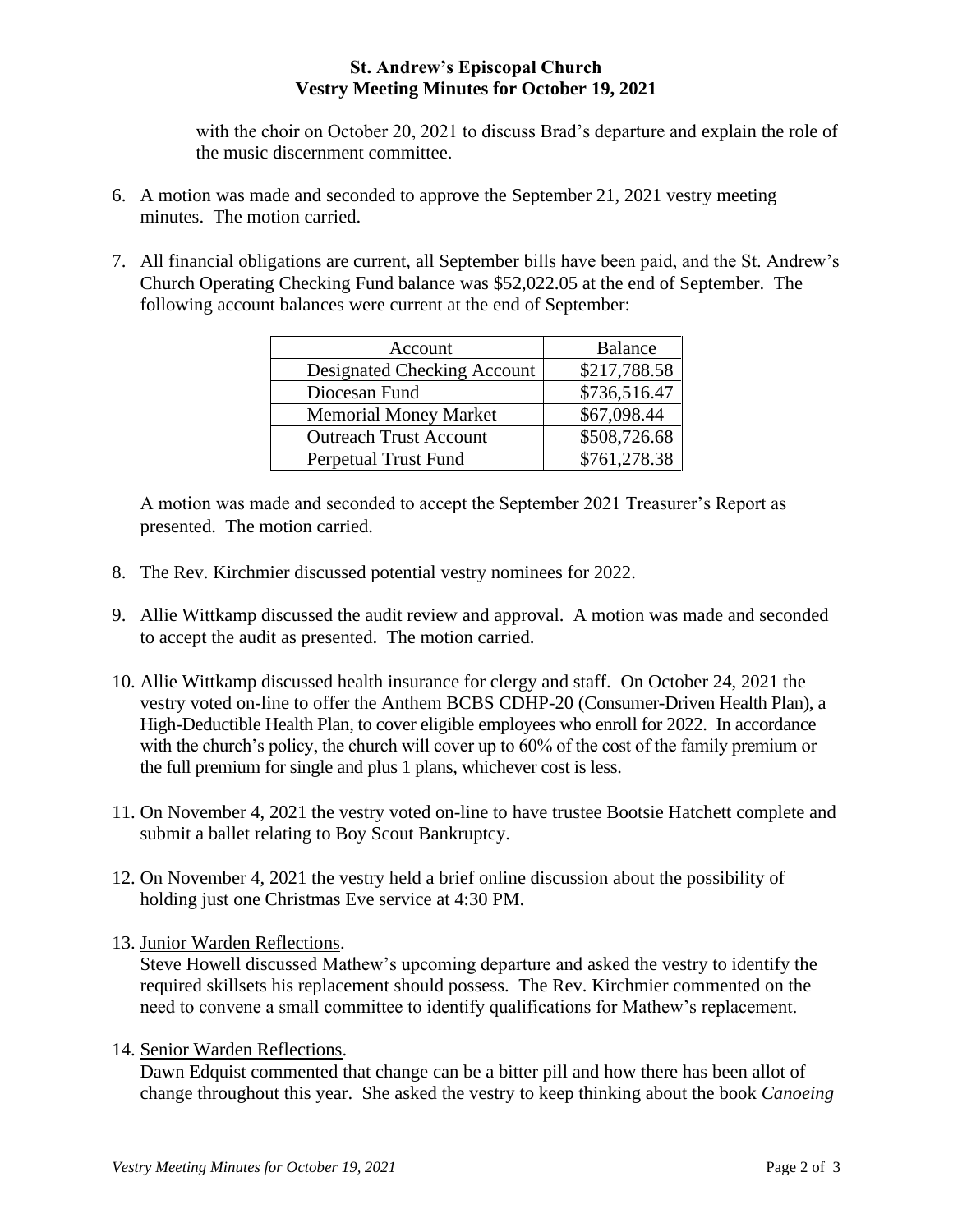## **St. Andrew's Episcopal Church Vestry Meeting Minutes for October 19, 2021**

with the choir on October 20, 2021 to discuss Brad's departure and explain the role of the music discernment committee.

- 6. A motion was made and seconded to approve the September 21, 2021 vestry meeting minutes. The motion carried.
- 7. All financial obligations are current, all September bills have been paid, and the St. Andrew's Church Operating Checking Fund balance was \$52,022.05 at the end of September. The following account balances were current at the end of September:

| Account                       | <b>Balance</b> |
|-------------------------------|----------------|
| Designated Checking Account   | \$217,788.58   |
| Diocesan Fund                 | \$736,516.47   |
| <b>Memorial Money Market</b>  | \$67,098.44    |
| <b>Outreach Trust Account</b> | \$508,726.68   |
| <b>Perpetual Trust Fund</b>   | \$761,278.38   |

A motion was made and seconded to accept the September 2021 Treasurer's Report as presented. The motion carried.

- 8. The Rev. Kirchmier discussed potential vestry nominees for 2022.
- 9. Allie Wittkamp discussed the audit review and approval. A motion was made and seconded to accept the audit as presented. The motion carried.
- 10. Allie Wittkamp discussed health insurance for clergy and staff. On October 24, 2021 the vestry voted on-line to offer the Anthem BCBS CDHP-20 (Consumer-Driven Health Plan), a High-Deductible Health Plan, to cover eligible employees who enroll for 2022. In accordance with the church's policy, the church will cover up to 60% of the cost of the family premium or the full premium for single and plus 1 plans, whichever cost is less.
- 11. On November 4, 2021 the vestry voted on-line to have trustee Bootsie Hatchett complete and submit a ballet relating to Boy Scout Bankruptcy.
- 12. On November 4, 2021 the vestry held a brief online discussion about the possibility of holding just one Christmas Eve service at 4:30 PM.
- 13. Junior Warden Reflections.

Steve Howell discussed Mathew's upcoming departure and asked the vestry to identify the required skillsets his replacement should possess. The Rev. Kirchmier commented on the need to convene a small committee to identify qualifications for Mathew's replacement.

14. Senior Warden Reflections.

Dawn Edquist commented that change can be a bitter pill and how there has been allot of change throughout this year. She asked the vestry to keep thinking about the book *Canoeing*